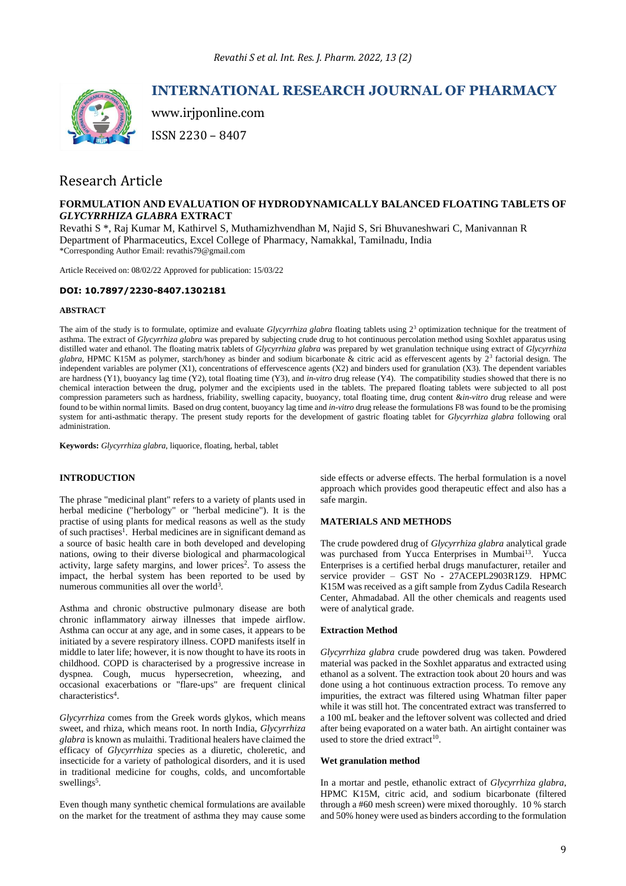

# **INTERNATIONAL RESEARCH JOURNAL OF PHARMACY**

www.irjponline.com

ISSN 2230 – 8407

# Research Article

# **FORMULATION AND EVALUATION OF HYDRODYNAMICALLY BALANCED FLOATING TABLETS OF**  *GLYCYRRHIZA GLABRA* **EXTRACT**

Revathi S \*, Raj Kumar M, Kathirvel S, Muthamizhvendhan M, Najid S, Sri Bhuvaneshwari C, Manivannan R Department of Pharmaceutics, Excel College of Pharmacy, Namakkal, Tamilnadu, India \*Corresponding Author Email: revathis79@gmail.com

Article Received on: 08/02/22 Approved for publication: 15/03/22

# **DOI: 10.7897/2230-8407.1302181**

# **ABSTRACT**

The aim of the study is to formulate, optimize and evaluate *Glycyrrhiza glabra* floating tablets using  $2<sup>3</sup>$  optimization technique for the treatment of asthma. The extract of *Glycyrrhiza glabra* was prepared by subjecting crude drug to hot continuous percolation method using Soxhlet apparatus using distilled water and ethanol. The floating matrix tablets of *Glycyrrhiza glabra* was prepared by wet granulation technique using extract of *Glycyrrhiza* glabra, HPMC K15M as polymer, starch/honey as binder and sodium bicarbonate & citric acid as effervescent agents by 2<sup>3</sup> factorial design. The independent variables are polymer (X1), concentrations of effervescence agents (X2) and binders used for granulation (X3). The dependent variables are hardness (Y1), buoyancy lag time (Y2), total floating time (Y3), and *in-vitro* drug release (Y4). The compatibility studies showed that there is no chemical interaction between the drug, polymer and the excipients used in the tablets. The prepared floating tablets were subjected to all post compression parameters such as hardness, friability, swelling capacity, buoyancy, total floating time, drug content &*in-vitro* drug release and were found to be within normal limits. Based on drug content, buoyancy lag time and *in-vitro* drug release the formulations F8 was found to be the promising system for anti-asthmatic therapy. The present study reports for the development of gastric floating tablet for *Glycyrrhiza glabra* following oral administration.

**Keywords:** *Glycyrrhiza glabra*, liquorice, floating, herbal, tablet

# **INTRODUCTION**

The phrase "medicinal plant" refers to a variety of plants used in herbal medicine ("herbology" or "herbal medicine"). It is the practise of using plants for medical reasons as well as the study of such practises<sup>1</sup>. Herbal medicines are in significant demand as a source of basic health care in both developed and developing nations, owing to their diverse biological and pharmacological activity, large safety margins, and lower prices<sup>2</sup>. To assess the impact, the herbal system has been reported to be used by numerous communities all over the world<sup>3</sup>.

Asthma and chronic obstructive pulmonary disease are both chronic inflammatory airway illnesses that impede airflow. Asthma can occur at any age, and in some cases, it appears to be initiated by a severe respiratory illness. COPD manifests itself in middle to later life; however, it is now thought to have its roots in childhood. COPD is characterised by a progressive increase in dyspnea. Cough, mucus hypersecretion, wheezing, and occasional exacerbations or "flare-ups" are frequent clinical characteristics<sup>4</sup>.

*Glycyrrhiza* comes from the Greek words glykos, which means sweet, and rhiza, which means root. In north India, *Glycyrrhiza glabra* is known as mulaithi. Traditional healers have claimed the efficacy of *Glycyrrhiza* species as a diuretic, choleretic, and insecticide for a variety of pathological disorders, and it is used in traditional medicine for coughs, colds, and uncomfortable swellings<sup>5</sup>.

Even though many synthetic chemical formulations are available on the market for the treatment of asthma they may cause some

side effects or adverse effects. The herbal formulation is a novel approach which provides good therapeutic effect and also has a safe margin.

# **MATERIALS AND METHODS**

The crude powdered drug of *Glycyrrhiza glabra* analytical grade was purchased from Yucca Enterprises in Mumbai<sup>13</sup>. Yucca Enterprises is a certified herbal drugs manufacturer, retailer and service provider – GST No - 27ACEPL2903R1Z9. HPMC K15M was received as a gift sample from Zydus Cadila Research Center, Ahmadabad. All the other chemicals and reagents used were of analytical grade.

## **Extraction Method**

*Glycyrrhiza glabra* crude powdered drug was taken. Powdered material was packed in the Soxhlet apparatus and extracted using ethanol as a solvent. The extraction took about 20 hours and was done using a hot continuous extraction process. To remove any impurities, the extract was filtered using Whatman filter paper while it was still hot. The concentrated extract was transferred to a 100 mL beaker and the leftover solvent was collected and dried after being evaporated on a water bath. An airtight container was used to store the dried extract<sup>10</sup>.

## **Wet granulation method**

In a mortar and pestle, ethanolic extract of *Glycyrrhiza glabra*, HPMC K15M, citric acid, and sodium bicarbonate (filtered through a #60 mesh screen) were mixed thoroughly. 10 % starch and 50% honey were used as binders according to the formulation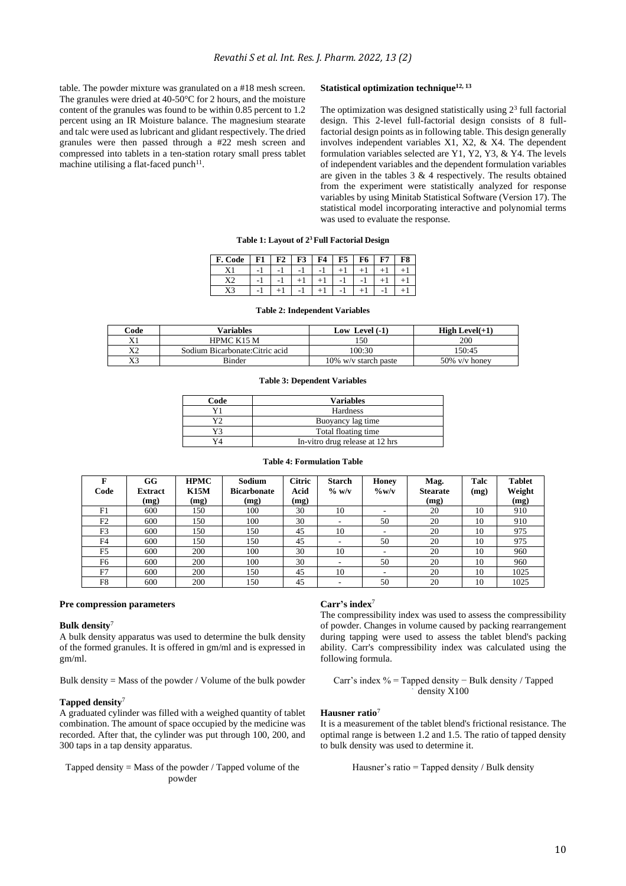table. The powder mixture was granulated on a #18 mesh screen. The granules were dried at 40-50°C for 2 hours, and the moisture content of the granules was found to be within 0.85 percent to 1.2 percent using an IR Moisture balance. The magnesium stearate and talc were used as lubricant and glidant respectively. The dried granules were then passed through a #22 mesh screen and compressed into tablets in a ten-station rotary small press tablet machine utilising a flat-faced punch<sup>11</sup>.

## **Statistical optimization technique12, 13**

The optimization was designed statistically using  $2<sup>3</sup>$  full factorial design. This 2-level full-factorial design consists of 8 fullfactorial design points as in following table. This design generally involves independent variables X1, X2, & X4. The dependent formulation variables selected are Y1, Y2, Y3, & Y4. The levels of independent variables and the dependent formulation variables are given in the tables 3 & 4 respectively. The results obtained from the experiment were statistically analyzed for response variables by using Minitab Statistical Software (Version 17). The statistical model incorporating interactive and polynomial terms was used to evaluate the response.

# **Table 1: Layout of 2<sup>3</sup>Full Factorial Design**

| F. Code | F1 | $F2$ $F3$ $F4$ |      |    | $F5 \mid F6$ | F8 |
|---------|----|----------------|------|----|--------------|----|
| X1      |    | $-1$           | $-1$ |    |              |    |
|         |    |                |      | -1 |              |    |
|         | ÷. |                | ÷.   | ÷  |              |    |

#### **Table 2: Independent Variables**

| $\mathrm{Code}$ | <b>Variables</b>                | Low Level $(-1)$        | High Level $(+1)$ |
|-----------------|---------------------------------|-------------------------|-------------------|
| X1              | HPMC K15 M                      | 150                     | 200               |
| X2              | Sodium Bicarbonate: Citric acid | 100:30                  | 150:45            |
| X3              | <b>Binder</b>                   | $10\%$ w/v starch paste | $50\%$ v/v honey  |

#### **Table 3: Dependent Variables**

| Code | <b>Variables</b>                |  |  |  |  |
|------|---------------------------------|--|--|--|--|
|      | <b>Hardness</b>                 |  |  |  |  |
| vh   | Buoyancy lag time               |  |  |  |  |
| v٦   | Total floating time             |  |  |  |  |
| Y4   | In-vitro drug release at 12 hrs |  |  |  |  |

#### **Table 4: Formulation Table**

| Code           | GG<br><b>Extract</b> | <b>HPMC</b><br>K15M | Sodium<br><b>Bicarbonate</b> | <b>Citric</b><br>Acid | <b>Starch</b><br>$\%$ w/v | <b>Honey</b><br>$\%$ w/v | Mag.<br><b>Stearate</b> | Talc<br>(mg) | <b>Tablet</b><br>Weight |
|----------------|----------------------|---------------------|------------------------------|-----------------------|---------------------------|--------------------------|-------------------------|--------------|-------------------------|
|                | (mg)                 | (mg)                | (mg)                         | (mg)                  |                           |                          | (mg)                    |              | (mg)                    |
| F1             | 600                  | 150                 | 100                          | 30                    | 10                        |                          | 20                      | 10           | 910                     |
| F2             | 600                  | 150                 | 100                          | 30                    | $\overline{\phantom{a}}$  | 50                       | 20                      | 10           | 910                     |
| F <sub>3</sub> | 600                  | 150                 | 150                          | 45                    | 10                        |                          | 20                      | 10           | 975                     |
| F <sub>4</sub> | 600                  | 150                 | 150                          | 45                    |                           | 50                       | 20                      | 10           | 975                     |
| F <sub>5</sub> | 600                  | 200                 | 100                          | 30                    | 10                        |                          | 20                      | 10           | 960                     |
| F <sub>6</sub> | 600                  | 200                 | 100                          | 30                    |                           | 50                       | 20                      | 10           | 960                     |
| F7             | 600                  | 200                 | 150                          | 45                    | 10                        |                          | 20                      | 10           | 1025                    |
| F8             | 600                  | 200                 | 150                          | 45                    |                           | 50                       | 20                      | 10           | 1025                    |

#### **Pre compression parameters**

## **Bulk density**<sup>7</sup>

A bulk density apparatus was used to determine the bulk density of the formed granules. It is offered in gm/ml and is expressed in gm/ml.

Bulk density  $=$  Mass of the powder / Volume of the bulk powder

## **Tapped density**<sup>7</sup>

A graduated cylinder was filled with a weighed quantity of tablet combination. The amount of space occupied by the medicine was recorded. After that, the cylinder was put through 100, 200, and 300 taps in a tap density apparatus.

Tapped density  $=$  Mass of the powder / Tapped volume of the powder

# **Carr's index**<sup>7</sup>

The compressibility index was used to assess the compressibility of powder. Changes in volume caused by packing rearrangement during tapping were used to assess the tablet blend's packing ability. Carr's compressibility index was calculated using the following formula.

Carr's index % = Tapped density − Bulk density / Tapped density X100

# **Hausner ratio**<sup>7</sup>

It is a measurement of the tablet blend's frictional resistance. The optimal range is between 1.2 and 1.5. The ratio of tapped density to bulk density was used to determine it.

Hausner's ratio = Tapped density / Bulk density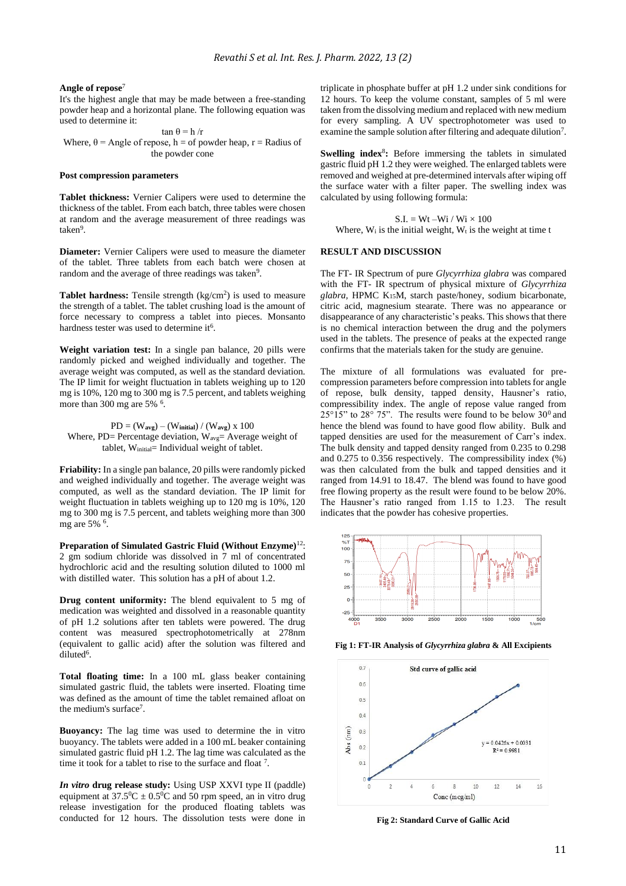#### **Angle of repose**<sup>7</sup>

It's the highest angle that may be made between a free-standing powder heap and a horizontal plane. The following equation was used to determine it:

tan θ = h /r Where,  $\theta$  = Angle of repose, h = of powder heap, r = Radius of the powder cone

#### **Post compression parameters**

**Tablet thickness:** Vernier Calipers were used to determine the thickness of the tablet. From each batch, three tables were chosen at random and the average measurement of three readings was taken<sup>9</sup>.

**Diameter:** Vernier Calipers were used to measure the diameter of the tablet. Three tablets from each batch were chosen at random and the average of three readings was taken<sup>9</sup>.

**Tablet hardness:** Tensile strength (kg/cm<sup>2</sup>) is used to measure the strength of a tablet. The tablet crushing load is the amount of force necessary to compress a tablet into pieces. Monsanto hardness tester was used to determine it<sup>6</sup>.

**Weight variation test:** In a single pan balance, 20 pills were randomly picked and weighed individually and together. The average weight was computed, as well as the standard deviation. The IP limit for weight fluctuation in tablets weighing up to 120 mg is 10%, 120 mg to 300 mg is 7.5 percent, and tablets weighing more than 300 mg are 5% <sup>6</sup>.

PD = (W**avg**) – (W**initial**) / (W**avg**) x 100 Where,  $PD=$  Percentage deviation,  $W_{avg}=$  Average weight of tablet, Winitial= Individual weight of tablet.

**Friability:** In a single pan balance, 20 pills were randomly picked and weighed individually and together. The average weight was computed, as well as the standard deviation. The IP limit for weight fluctuation in tablets weighing up to 120 mg is 10%, 120 mg to 300 mg is 7.5 percent, and tablets weighing more than 300 mg are 5% <sup>6</sup>.

**Preparation of Simulated Gastric Fluid (Without Enzyme)**<sup>12</sup>: 2 gm sodium chloride was dissolved in 7 ml of concentrated hydrochloric acid and the resulting solution diluted to 1000 ml with distilled water. This solution has a pH of about 1.2.

**Drug content uniformity:** The blend equivalent to 5 mg of medication was weighted and dissolved in a reasonable quantity of pH 1.2 solutions after ten tablets were powered. The drug content was measured spectrophotometrically at 278nm (equivalent to gallic acid) after the solution was filtered and diluted<sup>6</sup>.

**Total floating time:** In a 100 mL glass beaker containing simulated gastric fluid, the tablets were inserted. Floating time was defined as the amount of time the tablet remained afloat on the medium's surface<sup>7</sup>.

**Buoyancy:** The lag time was used to determine the in vitro buoyancy. The tablets were added in a 100 mL beaker containing simulated gastric fluid pH 1.2. The lag time was calculated as the time it took for a tablet to rise to the surface and float  $7$ .

*In vitro* **drug release study:** Using USP XXVI type II (paddle) equipment at  $37.5^{\circ}C \pm 0.5^{\circ}C$  and 50 rpm speed, an in vitro drug release investigation for the produced floating tablets was conducted for 12 hours. The dissolution tests were done in

triplicate in phosphate buffer at pH 1.2 under sink conditions for 12 hours. To keep the volume constant, samples of 5 ml were taken from the dissolving medium and replaced with new medium for every sampling. A UV spectrophotometer was used to examine the sample solution after filtering and adequate dilution<sup>7</sup>.

**Swelling index<sup>8</sup>:** Before immersing the tablets in simulated gastric fluid pH 1.2 they were weighed. The enlarged tablets were removed and weighed at pre-determined intervals after wiping off the surface water with a filter paper. The swelling index was calculated by using following formula:

 $S.I. = Wt - Wi / Wi \times 100$ Where,  $W_i$  is the initial weight,  $W_t$  is the weight at time  $t$ 

## **RESULT AND DISCUSSION**

The FT- IR Spectrum of pure *Glycyrrhiza glabra* was compared with the FT- IR spectrum of physical mixture of *Glycyrrhiza glabra,* HPMC K15M, starch paste/honey, sodium bicarbonate, citric acid, magnesium stearate. There was no appearance or disappearance of any characteristic's peaks. This shows that there is no chemical interaction between the drug and the polymers used in the tablets. The presence of peaks at the expected range confirms that the materials taken for the study are genuine.

The mixture of all formulations was evaluated for precompression parameters before compression into tablets for angle of repose, bulk density, tapped density, Hausner's ratio, compressibility index. The angle of repose value ranged from  $25^{\circ}15"$  to  $28^{\circ}$  75". The results were found to be below  $30^{\circ}$  and hence the blend was found to have good flow ability. Bulk and tapped densities are used for the measurement of Carr's index. The bulk density and tapped density ranged from 0.235 to 0.298 and 0.275 to 0.356 respectively. The compressibility index (%) was then calculated from the bulk and tapped densities and it ranged from 14.91 to 18.47. The blend was found to have good free flowing property as the result were found to be below 20%. The Hausner's ratio ranged from 1.15 to 1.23. The result indicates that the powder has cohesive properties.



**Fig 1: FT-IR Analysis of** *Glycyrrhiza glabra* **& All Excipients**



**Fig 2: Standard Curve of Gallic Acid**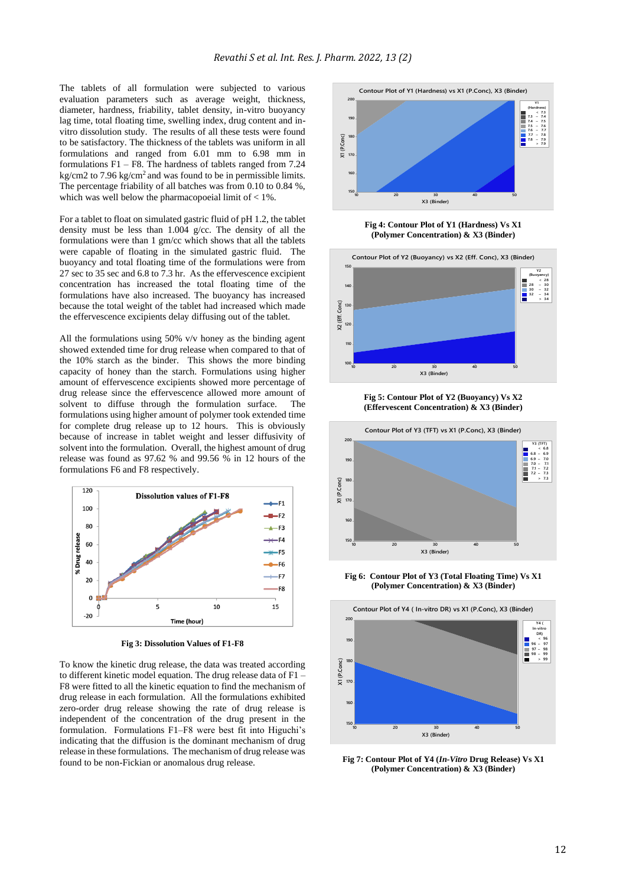The tablets of all formulation were subjected to various evaluation parameters such as average weight, thickness, diameter, hardness, friability, tablet density, in-vitro buoyancy lag time, total floating time, swelling index, drug content and invitro dissolution study. The results of all these tests were found to be satisfactory. The thickness of the tablets was uniform in all formulations and ranged from 6.01 mm to 6.98 mm in formulations F1 – F8. The hardness of tablets ranged from 7.24 kg/cm2 to  $7.96 \text{ kg/cm}^2$  and was found to be in permissible limits. The percentage friability of all batches was from 0.10 to 0.84 %, which was well below the pharmacopoeial limit of < 1%.

For a tablet to float on simulated gastric fluid of pH 1.2, the tablet density must be less than 1.004 g/cc. The density of all the formulations were than 1 gm/cc which shows that all the tablets were capable of floating in the simulated gastric fluid. The buoyancy and total floating time of the formulations were from 27 sec to 35 sec and 6.8 to 7.3 hr. As the effervescence excipient concentration has increased the total floating time of the formulations have also increased. The buoyancy has increased because the total weight of the tablet had increased which made the effervescence excipients delay diffusing out of the tablet.

All the formulations using 50% v/v honey as the binding agent showed extended time for drug release when compared to that of the 10% starch as the binder. This shows the more binding capacity of honey than the starch. Formulations using higher amount of effervescence excipients showed more percentage of drug release since the effervescence allowed more amount of solvent to diffuse through the formulation surface. The formulations using higher amount of polymer took extended time for complete drug release up to 12 hours. This is obviously because of increase in tablet weight and lesser diffusivity of solvent into the formulation. Overall, the highest amount of drug release was found as 97.62 % and 99.56 % in 12 hours of the formulations F6 and F8 respectively.



**Fig 3: Dissolution Values of F1-F8**

To know the kinetic drug release, the data was treated according to different kinetic model equation. The drug release data of F1 – F8 were fitted to all the kinetic equation to find the mechanism of drug release in each formulation. All the formulations exhibited zero-order drug release showing the rate of drug release is independent of the concentration of the drug present in the formulation. Formulations F1–F8 were best fit into Higuchi's indicating that the diffusion is the dominant mechanism of drug release in these formulations. The mechanism of drug release was found to be non-Fickian or anomalous drug release.



**Fig 4: Contour Plot of Y1 (Hardness) Vs X1 (Polymer Concentration) & X3 (Binder)**



**Fig 5: Contour Plot of Y2 (Buoyancy) Vs X2 (Effervescent Concentration) & X3 (Binder)**



**Fig 6: Contour Plot of Y3 (Total Floating Time) Vs X1 (Polymer Concentration) & X3 (Binder)**



**Fig 7: Contour Plot of Y4 (***In-Vitro* **Drug Release) Vs X1 (Polymer Concentration) & X3 (Binder)**